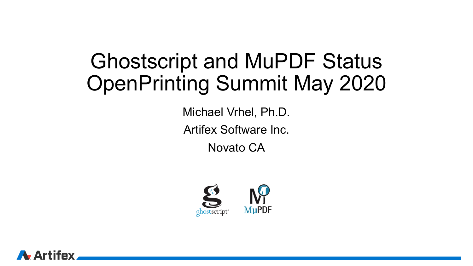### Ghostscript and MuPDF Status OpenPrinting Summit May 2020

Michael Vrhel, Ph.D. Artifex Software Inc.

Novato CA



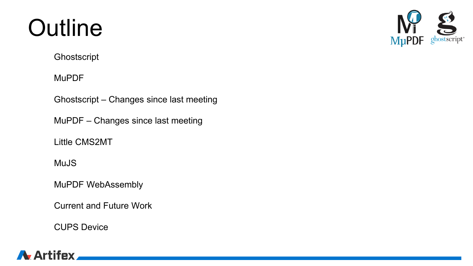### **Outline**

**Ghostscript** 

MuPDF

Ghostscript – Changes since last meeting

MuPDF – Changes since last meeting

Little CMS2MT

MuJS

MuPDF WebAssembly

Current and Future Work

CUPS Device



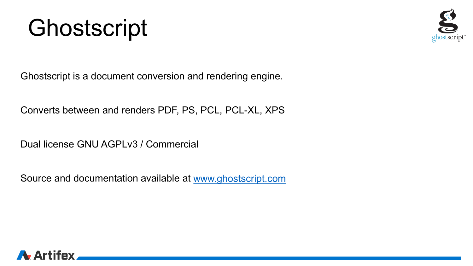### Ghostscript



Ghostscript is a document conversion and rendering engine.

Converts between and renders PDF, PS, PCL, PCL-XL, XPS

Dual license GNU AGPLv3 / Commercial

Source and documentation available at [www.ghostscript.com](http://www.ghostscript.com/)

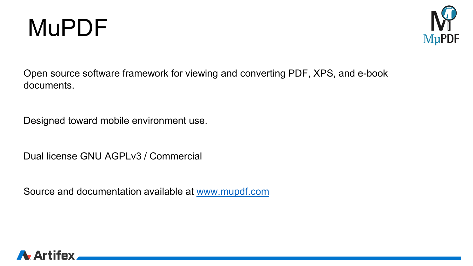



Open source software framework for viewing and converting PDF, XPS, and e-book documents.

Designed toward mobile environment use.

Dual license GNU AGPLv3 / Commercial

Source and documentation available at [www.mupdf.com](http://www.mupdf.com/)

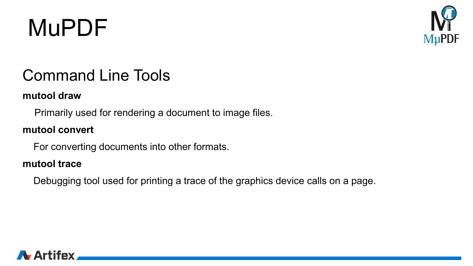

### Command Line Tools

#### **mutool draw**

Primarily used for rendering a document to image files.

#### **mutool convert**

For converting documents into other formats.

#### **mutool trace**

Debugging tool used for printing a trace of the graphics device calls on a page.

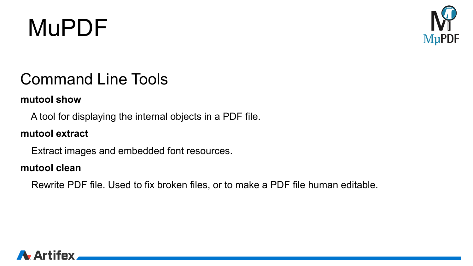

### Command Line Tools

#### **mutool show**

A tool for displaying the internal objects in a PDF file.

#### **mutool extract**

Extract images and embedded font resources.

#### **mutool clean**

Rewrite PDF file. Used to fix broken files, or to make a PDF file human editable.

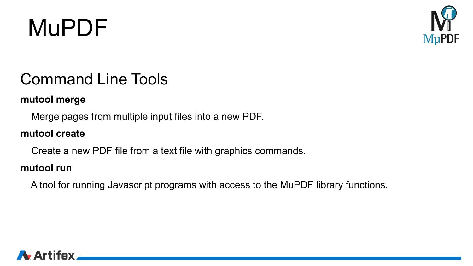

### Command Line Tools

#### **mutool merge**

Merge pages from multiple input files into a new PDF.

### **mutool create**

Create a new PDF file from a text file with graphics commands.

#### **mutool run**

A tool for running Javascript programs with access to the MuPDF library functions.

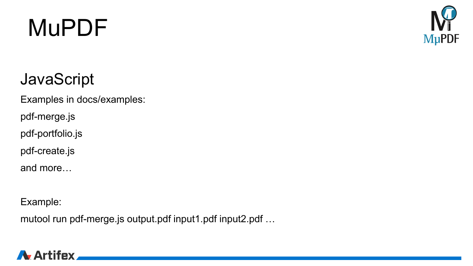

### **JavaScript**

Examples in docs/examples:

pdf-merge.js

pdf-portfolio.js

pdf-create.js

and more…

Example:

mutool run pdf-merge.js output.pdf input1.pdf input2.pdf …

### A Artifex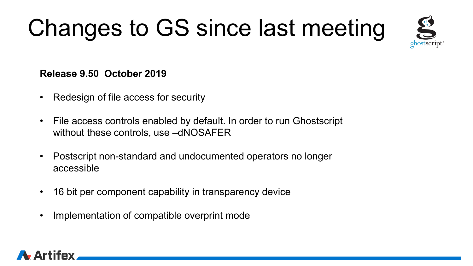# Changes to GS since last meeting



#### **Release 9.50 October 2019**

- Redesign of file access for security
- File access controls enabled by default. In order to run Ghostscript without these controls, use –dNOSAFER
- Postscript non-standard and undocumented operators no longer accessible
- 16 bit per component capability in transparency device
- Implementation of compatible overprint mode

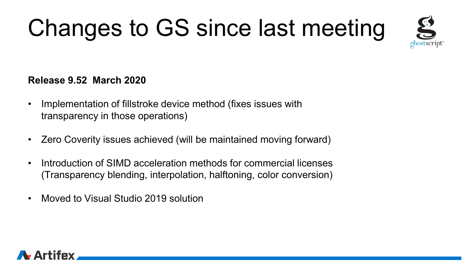# Changes to GS since last meeting



#### **Release 9.52 March 2020**

- Implementation of fillstroke device method (fixes issues with transparency in those operations)
- Zero Coverity issues achieved (will be maintained moving forward)
- Introduction of SIMD acceleration methods for commercial licenses (Transparency blending, interpolation, halftoning, color conversion)
- Moved to Visual Studio 2019 solution

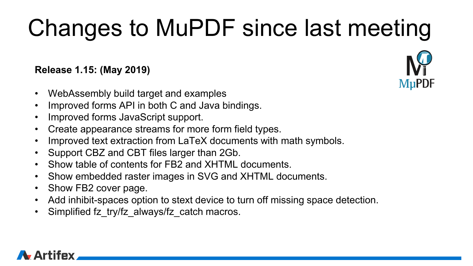#### **Release 1.15: (May 2019)**

- WebAssembly build target and examples
- Improved forms API in both C and Java bindings.
- Improved forms JavaScript support.
- Create appearance streams for more form field types.
- Improved text extraction from LaTeX documents with math symbols.
- Support CBZ and CBT files larger than 2Gb.
- Show table of contents for FB2 and XHTML documents.
- Show embedded raster images in SVG and XHTML documents.
- Show FB2 cover page.
- Add inhibit-spaces option to stext device to turn off missing space detection.
- Simplified fz\_try/fz\_always/fz\_catch macros.



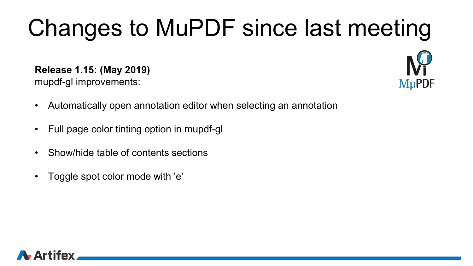**Release 1.15: (May 2019)**

mupdf-gl improvements:



- Automatically open annotation editor when selecting an annotation
- Full page color tinting option in mupdf-gl
- Show/hide table of contents sections
- Toggle spot color mode with 'e'

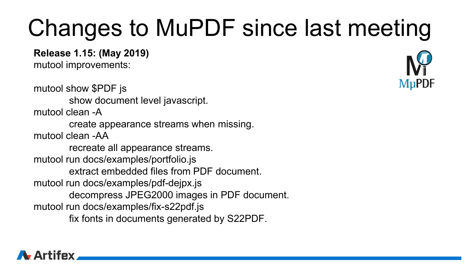**Release 1.15: (May 2019)**

mutool improvements:

mutool show \$PDF js show document level javascript. mutool clean -A create appearance streams when missing. mutool clean -AA recreate all appearance streams. mutool run docs/examples/portfolio.js extract embedded files from PDF document. mutool run docs/examples/pdf-dejpx.js decompress JPEG2000 images in PDF document. mutool run docs/examples/fix-s22pdf.js fix fonts in documents generated by S22PDF.



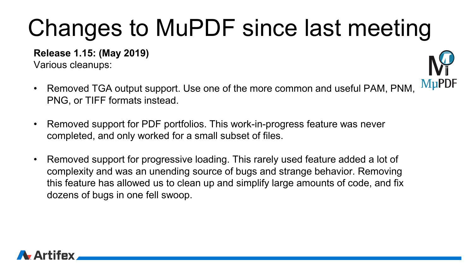**Release 1.15: (May 2019)**

Various cleanups:

- **MuPDF** • Removed TGA output support. Use one of the more common and useful PAM, PNM, PNG, or TIFF formats instead.
- Removed support for PDF portfolios. This work-in-progress feature was never completed, and only worked for a small subset of files.
- Removed support for progressive loading. This rarely used feature added a lot of complexity and was an unending source of bugs and strange behavior. Removing this feature has allowed us to clean up and simplify large amounts of code, and fix dozens of bugs in one fell swoop.

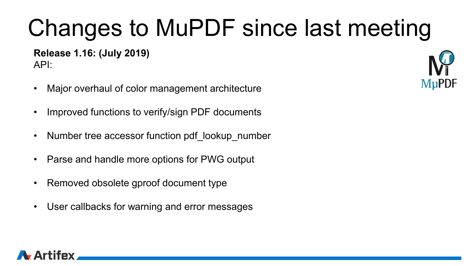**Release 1.16: (July 2019)** API:

- Major overhaul of color management architecture
- Improved functions to verify/sign PDF documents
- Number tree accessor function pdf lookup number
- Parse and handle more options for PWG output
- Removed obsolete gproof document type
- User callbacks for warning and error messages



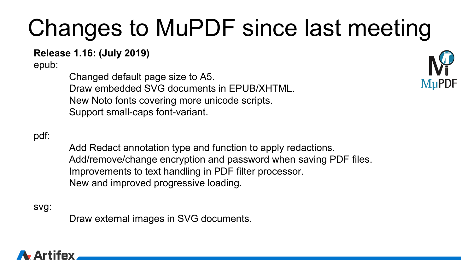#### **Release 1.16: (July 2019)**

epub:

Changed default page size to A5. Draw embedded SVG documents in EPUB/XHTML. New Noto fonts covering more unicode scripts. Support small-caps font-variant.

#### pdf:

Add Redact annotation type and function to apply redactions. Add/remove/change encryption and password when saving PDF files. Improvements to text handling in PDF filter processor. New and improved progressive loading.

svg:

Draw external images in SVG documents.

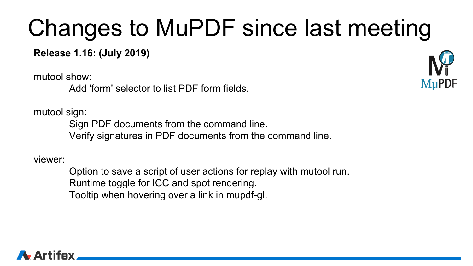**Release 1.16: (July 2019)**

mutool show:

Add 'form' selector to list PDF form fields.

mutool sign:

Sign PDF documents from the command line. Verify signatures in PDF documents from the command line.

viewer:

Option to save a script of user actions for replay with mutool run. Runtime toggle for ICC and spot rendering. Tooltip when hovering over a link in mupdf-gl.

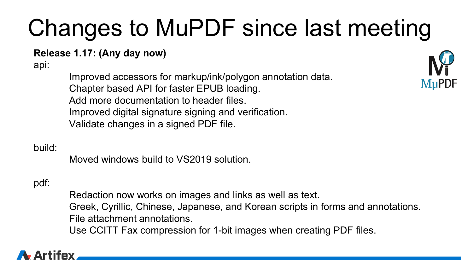#### **Release 1.17: (Any day now)**

api:

Improved accessors for markup/ink/polygon annotation data. Chapter based API for faster EPUB loading. Add more documentation to header files. Improved digital signature signing and verification. Validate changes in a signed PDF file.



#### build:

Moved windows build to VS2019 solution.

### pdf:

Redaction now works on images and links as well as text. Greek, Cyrillic, Chinese, Japanese, and Korean scripts in forms and annotations. File attachment annotations. Use CCITT Fax compression for 1-bit images when creating PDF files.

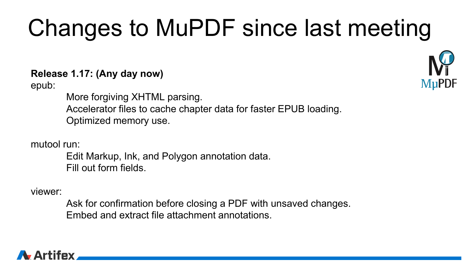#### **Release 1.17: (Any day now)**

epub:

More forgiving XHTML parsing. Accelerator files to cache chapter data for faster EPUB loading. Optimized memory use.

mutool run:

Edit Markup, Ink, and Polygon annotation data. Fill out form fields.

viewer:

Ask for confirmation before closing a PDF with unsaved changes. Embed and extract file attachment annotations.



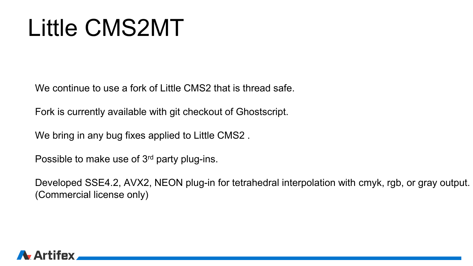### Little CMS2MT

We continue to use a fork of Little CMS2 that is thread safe.

Fork is currently available with git checkout of Ghostscript.

We bring in any bug fixes applied to Little CMS2 .

Possible to make use of 3<sup>rd</sup> party plug-ins.

Developed SSE4.2, AVX2, NEON plug-in for tetrahedral interpolation with cmyk, rgb, or gray output. (Commercial license only)

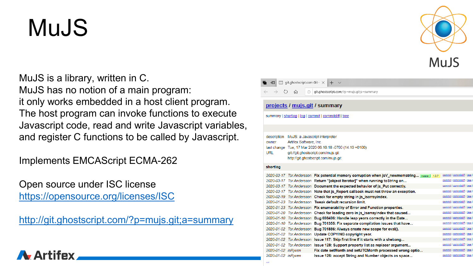### MuJS

**A.** Artifey

MuJS is a library, written in C. MuJS has no notion of a main program: it only works embedded in a host client program. The host program can invoke functions to execute Javascript code, read and write Javascript variables, and register C functions to be called by Javascript.

Implements EMCAScript ECMA-262

Open source under ISC license <https://opensource.org/licenses/ISC>

<http://git.ghostscript.com/?p=mujs.git;a=summary>



#### $\Box$  git.ghostscript.com Git  $\cdot$   $\times$ O git.ghostscript.com/?p=mujs.git;a=summary projects / mujs.git / summary summary | shortlog | log | commit | commitdiff | tree description MuJS: a Javascript interpreter Artifex Software, Inc. owner last change Tue, 17 Mar 2020 06:10:18 -0700 (14:10 +0100) **URL** git://git.ghostscript.com/mujs.git http://git.ghostscript.com/mujs.git shortlog 2020-03-17 Tor Andersson Fix potential memory corruption when jsV\_newmemstring... master | 1.0.7 2020-03-17. Tor Andersson, Return "Jobiect Iteratorl" when running to String on <u>iiff</u> | <u>tree</u> liff | tree iff | tree

|                    | 2020-03-17 Tor Andersson Document the expected behavior of js_Put correctly.       | commit   commitdiff   tree |
|--------------------|------------------------------------------------------------------------------------|----------------------------|
|                    | 2020-03-17 Tor Andersson Note that js_Report callback must not throw an exception. | commit   commitdiff   tree |
|                    | 2020-02-19 Tor Andersson Check for empty string in js_isarrayindex.                | commit   commitdiff   tree |
|                    | 2020-01-23 Tor Andersson Tweak default recursion limit.                            | commit   commitdiff   tree |
|                    | 2020-01-23 Tor Andersson Fix enumerability of Error and Function properties.       | commit   commitdiff   tree |
|                    | 2020-01-20 Tor Andersson Check for leading zero in js isarrayindex that caused     | commit   commitdiff   tree |
|                    | 2020-01-10 Tor Andersson Bug 698496: Handle leap years correctly in the Date       | commit   commitdiff   tree |
|                    | 2020-01-10 Tor Andersson Bug 701355: Fix separate compilation issues that have     | commit   commitdiff   tree |
|                    | 2020-01-02 Tor Andersson Bug 701886: Always create new scope for eval().           | commit   commitdiff   tree |
|                    | 2020-01-02 Tor Andersson Update COPYING copyright year.                            | commit   commitdiff   tree |
|                    | 2020-01-02 Tor Andersson Issue 117: Skip first line if it starts with a shebang    | commit   commitdiff   tree |
|                    | 2020-01-02 Tor Andersson Issue 128: Support property list as replacer argument     | commit   commitdiff   tree |
| 2020-01-02 isRvven | Fix date setMonth and setUTCMonth processed wrong optio                            | commit   commitdiff   tree |
| 2020-01-02 isRvven | Issue 126: accept String and Number objects as space                               | commit   commitdiff   tree |

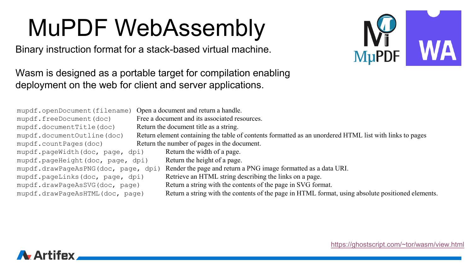### MuPDF WebAssembly

Binary instruction format for a stack-based virtual machine.



Wasm is designed as a portable target for compilation enabling deployment on the web for client and server applications.

- mupdf.freeDocument(doc) Free a document and its associated resources. mupdf.documentTitle(doc) Return the document title as a string. mupdf.countPages(doc) Return the number of pages in the document.<br>mupdf.pageWidth(doc, page, dpi) Return the width of a page. mupdf.pageWidth(doc, page, dpi) mupdf.pageHeight(doc, page, dpi) Return the height of a page.
- mupdf.openDocument(filename) Open a document and return a handle.
	-
	-
- mupdf.documentOutline(doc) Return element containing the table of contents formatted as an unordered HTML list with links to pages
	- -
		-
- mupdf.drawPageAsPNG(doc, page, dpi) Render the page and return a PNG image formatted as a data URI.
- mupdf.pageLinks(doc, page, dpi) Retrieve an HTML string describing the links on a page.
- mupdf.drawPageAsSVG(doc, page) Return a string with the contents of the page in SVG format.
- mupdf.drawPageAsHTML(doc, page) Return a string with the contents of the page in HTML format, using absolute positioned elements.

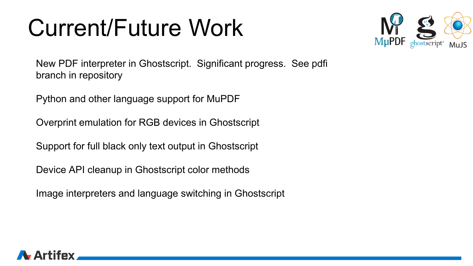### Current/Future Work



New PDF interpreter in Ghostscript. Significant progress. See pdfi branch in repository

Python and other language support for MuPDF

Overprint emulation for RGB devices in Ghostscript

Support for full black only text output in Ghostscript

Device API cleanup in Ghostscript color methods

Image interpreters and language switching in Ghostscript

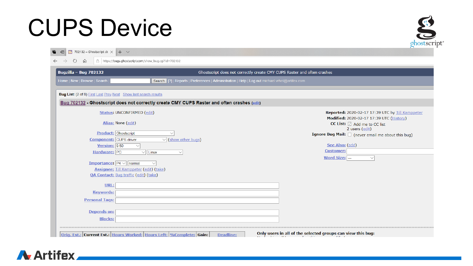### CUPS Device



| <b>Bugzilla - Bug 702132</b>                                                  |                                                                                                | Ghostscript does not correctly create CMY CUPS Raster and often crashes                                                              |  |  |
|-------------------------------------------------------------------------------|------------------------------------------------------------------------------------------------|--------------------------------------------------------------------------------------------------------------------------------------|--|--|
| Home   New   Browse   Search                                                  | Search [?]   Reports   Preferences   Administration   Help   Log out michael.vrhel@artifex.com |                                                                                                                                      |  |  |
| <b>Bug List:</b> (2 of 8) First Last Prev Next Show last search results       |                                                                                                |                                                                                                                                      |  |  |
|                                                                               | Bug 702132 - Ghostscript does not correctly create CMY CUPS Raster and often crashes (edit)    |                                                                                                                                      |  |  |
| <b>Status: UNCONFIRMED (edit)</b><br>Alias: None (edit)                       |                                                                                                | Reported: 2020-02-17 17:39 UTC by Till Kamppeter<br>Modified: 2020-02-17 17:39 UTC (History)<br>CC List: $\boxdot$ Add me to CC list |  |  |
| <b>Product:</b> Ghostscript<br><b>Component:</b> CUPS driver                  | $\checkmark$<br>$\vee$ (show other bugs)                                                       | 2 users (edit)<br>Ignore Bug Mail: $\Box$ (never email me about this bug)                                                            |  |  |
| Version: 9.50<br>$\checkmark$<br>Hardware: PC<br>$\vee$    Linux              | $\checkmark$                                                                                   | See Also: (add)<br><b>Customer:</b><br><b>Word Size: ---</b><br>$\smallsetminus$                                                     |  |  |
| <b>Importance:</b> $P4 \vee$ normal<br>Assignee: Till Kamppeter (edit) (take) |                                                                                                |                                                                                                                                      |  |  |
| <b>QA Contact:</b> Bug traffic (edit) (take)                                  |                                                                                                |                                                                                                                                      |  |  |
| URL:                                                                          |                                                                                                |                                                                                                                                      |  |  |
| <b>Keywords:</b><br><b>Personal Tags:</b>                                     |                                                                                                |                                                                                                                                      |  |  |
| <b>Depends on:</b>                                                            |                                                                                                |                                                                                                                                      |  |  |
| <b>Blocks:</b>                                                                |                                                                                                |                                                                                                                                      |  |  |

Artifex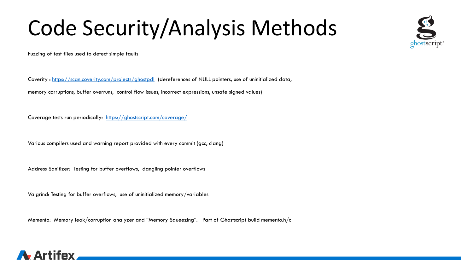### Code Security/Analysis Methods

Fuzzing of test files used to detect simple faults

Coverity :<https://scan.coverity.com/projects/ghostpdl> (dereferences of NULL pointers, use of uninitialized data, memory corruptions, buffer overruns, control flow issues, incorrect expressions, unsafe signed values)

Coverage tests run periodically: <https://ghostscript.com/coverage/>

Various compilers used and warning report provided with every commit (gcc, clang)

Address Sanitizer: Testing for buffer overflows, dangling pointer overflows

Valgrind: Testing for buffer overflows, use of uninitialized memory/variables

Memento: Memory leak/corruption analyzer and "Memory Squeezing". Part of Ghostscript build memento.h/c